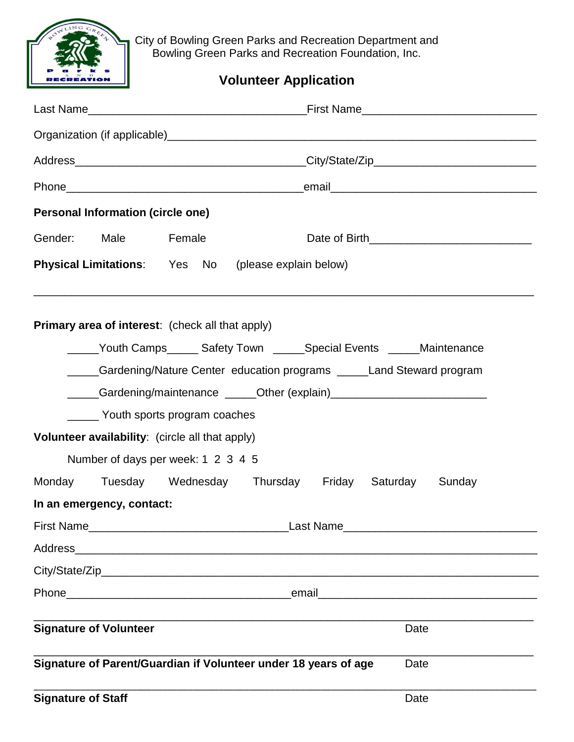

City of Bowling Green Parks and Recreation Department and Bowling Green Parks and Recreation Foundation, Inc.

## **Volunteer Application**

|                                                                           | <b>Personal Information (circle one)</b>                             |                                                                 |  |  |                                                                                                                       |  |  |  |  |
|---------------------------------------------------------------------------|----------------------------------------------------------------------|-----------------------------------------------------------------|--|--|-----------------------------------------------------------------------------------------------------------------------|--|--|--|--|
| Gender:                                                                   | Male Female                                                          |                                                                 |  |  |                                                                                                                       |  |  |  |  |
|                                                                           |                                                                      | Physical Limitations: Yes No (please explain below)             |  |  |                                                                                                                       |  |  |  |  |
|                                                                           |                                                                      | <b>Primary area of interest:</b> (check all that apply)         |  |  | <u> 1989 - Johann Stoff, deutscher Stoff, der Stoff, der Stoff, der Stoff, der Stoff, der Stoff, der Stoff, der S</u> |  |  |  |  |
| _____Youth Camps______ Safety Town ______Special Events ______Maintenance |                                                                      |                                                                 |  |  |                                                                                                                       |  |  |  |  |
|                                                                           | Cardening/Nature Center education programs _____Land Steward program |                                                                 |  |  |                                                                                                                       |  |  |  |  |
|                                                                           |                                                                      |                                                                 |  |  |                                                                                                                       |  |  |  |  |
|                                                                           | Youth sports program coaches                                         |                                                                 |  |  |                                                                                                                       |  |  |  |  |
|                                                                           |                                                                      | Volunteer availability: (circle all that apply)                 |  |  |                                                                                                                       |  |  |  |  |
|                                                                           | Number of days per week: 1 2 3 4 5                                   |                                                                 |  |  |                                                                                                                       |  |  |  |  |
|                                                                           |                                                                      |                                                                 |  |  | Monday Tuesday Wednesday Thursday Friday Saturday Sunday                                                              |  |  |  |  |
|                                                                           | In an emergency, contact:                                            |                                                                 |  |  |                                                                                                                       |  |  |  |  |
|                                                                           |                                                                      |                                                                 |  |  |                                                                                                                       |  |  |  |  |
|                                                                           |                                                                      |                                                                 |  |  |                                                                                                                       |  |  |  |  |
|                                                                           |                                                                      |                                                                 |  |  |                                                                                                                       |  |  |  |  |
|                                                                           |                                                                      |                                                                 |  |  |                                                                                                                       |  |  |  |  |
|                                                                           | <b>Signature of Volunteer</b>                                        |                                                                 |  |  | Date                                                                                                                  |  |  |  |  |
|                                                                           |                                                                      | Signature of Parent/Guardian if Volunteer under 18 years of age |  |  | Date                                                                                                                  |  |  |  |  |
| <b>Signature of Staff</b>                                                 |                                                                      |                                                                 |  |  | Date                                                                                                                  |  |  |  |  |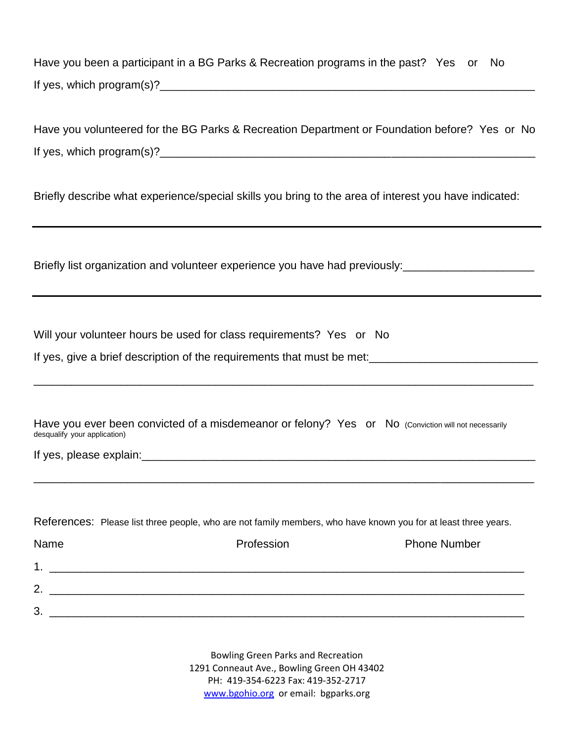Have you been a participant in a BG Parks & Recreation programs in the past? Yes or No If yes, which program(s)?\_\_\_\_\_\_\_\_\_\_\_\_\_\_\_\_\_\_\_\_\_\_\_\_\_\_\_\_\_\_\_\_\_\_\_\_\_\_\_\_\_\_\_\_\_\_\_\_\_\_\_\_\_\_\_\_\_\_\_\_

Have you volunteered for the BG Parks & Recreation Department or Foundation before? Yes or No If yes, which program(s)?  $\blacksquare$ 

Briefly describe what experience/special skills you bring to the area of interest you have indicated:

Briefly list organization and volunteer experience you have had previously:

Will your volunteer hours be used for class requirements? Yes or No

If yes, give a brief description of the requirements that must be met:\_\_\_\_\_\_\_\_\_\_\_\_\_\_\_\_\_\_\_\_\_\_\_\_\_\_\_

Have you ever been convicted of a misdemeanor or felony? Yes or No (Conviction will not necessarily desqualify your application)

\_\_\_\_\_\_\_\_\_\_\_\_\_\_\_\_\_\_\_\_\_\_\_\_\_\_\_\_\_\_\_\_\_\_\_\_\_\_\_\_\_\_\_\_\_\_\_\_\_\_\_\_\_\_\_\_\_\_\_\_\_\_\_\_\_\_\_\_\_\_\_\_\_\_\_\_\_\_\_\_

\_\_\_\_\_\_\_\_\_\_\_\_\_\_\_\_\_\_\_\_\_\_\_\_\_\_\_\_\_\_\_\_\_\_\_\_\_\_\_\_\_\_\_\_\_\_\_\_\_\_\_\_\_\_\_\_\_\_\_\_\_\_\_\_\_\_\_\_\_\_\_\_\_\_\_\_\_\_\_\_

If yes, please explain:  $\Box$ 

References: Please list three people, who are not family members, who have known you for at least three years.

| Name           | Profession | <b>Phone Number</b> |
|----------------|------------|---------------------|
| 4              |            |                     |
| $\overline{2}$ |            |                     |
| 3              |            |                     |

Bowling Green Parks and Recreation 1291 Conneaut Ave., Bowling Green OH 43402 PH: 419-354-6223 Fax: 419-352-2717 [www.bgohio.org](http://www.bgohio.org/) or email: bgparks.org